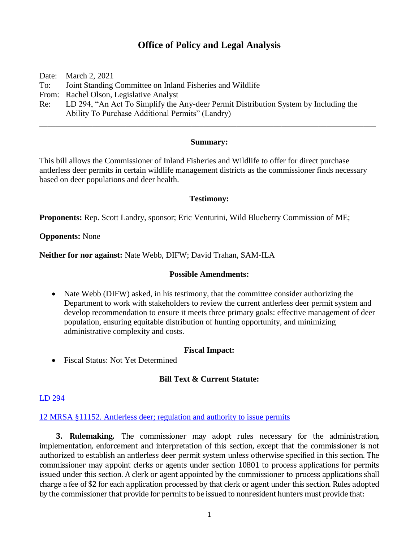# **Office of Policy and Legal Analysis**

Date: March 2, 2021 To: Joint Standing Committee on Inland Fisheries and Wildlife From: Rachel Olson, Legislative Analyst Re: LD 294, "An Act To Simplify the Any-deer Permit Distribution System by Including the Ability To Purchase Additional Permits" (Landry)

## **Summary:**

\_\_\_\_\_\_\_\_\_\_\_\_\_\_\_\_\_\_\_\_\_\_\_\_\_\_\_\_\_\_\_\_\_\_\_\_\_\_\_\_\_\_\_\_\_\_\_\_\_\_\_\_\_\_\_\_\_\_\_\_\_\_\_\_\_\_\_\_\_\_\_\_\_\_\_\_\_\_\_\_\_\_

This bill allows the Commissioner of Inland Fisheries and Wildlife to offer for direct purchase antlerless deer permits in certain wildlife management districts as the commissioner finds necessary based on deer populations and deer health.

#### **Testimony:**

**Proponents:** Rep. Scott Landry, sponsor; Eric Venturini, Wild Blueberry Commission of ME;

#### **Opponents:** None

**Neither for nor against:** Nate Webb, DIFW; David Trahan, SAM-ILA

#### **Possible Amendments:**

• Nate Webb (DIFW) asked, in his testimony, that the committee consider authorizing the Department to work with stakeholders to review the current antlerless deer permit system and develop recommendation to ensure it meets three primary goals: effective management of deer population, ensuring equitable distribution of hunting opportunity, and minimizing administrative complexity and costs.

## **Fiscal Impact:**

• Fiscal Status: Not Yet Determined

# **Bill Text & Current Statute:**

#### [LD 294](http://www.mainelegislature.org/legis/bills/getPDF.asp?paper=HP0207&item=1&snum=130)

#### 12 MRSA §11152. Antlerless [deer; regulation and authority to issue permits](http://legislature.maine.gov/legis/statutes/12/title12sec11152.html)

**3. Rulemaking.** The commissioner may adopt rules necessary for the administration, implementation, enforcement and interpretation of this section, except that the commissioner is not authorized to establish an antlerless deer permit system unless otherwise specified in this section. The commissioner may appoint clerks or agents under section 10801 to process applications for permits issued under this section. A clerk or agent appointed by the commissioner to process applications shall charge a fee of \$2 for each application processed by that clerk or agent under this section. Rules adopted by the commissioner that provide for permits to be issued to nonresident hunters must provide that: